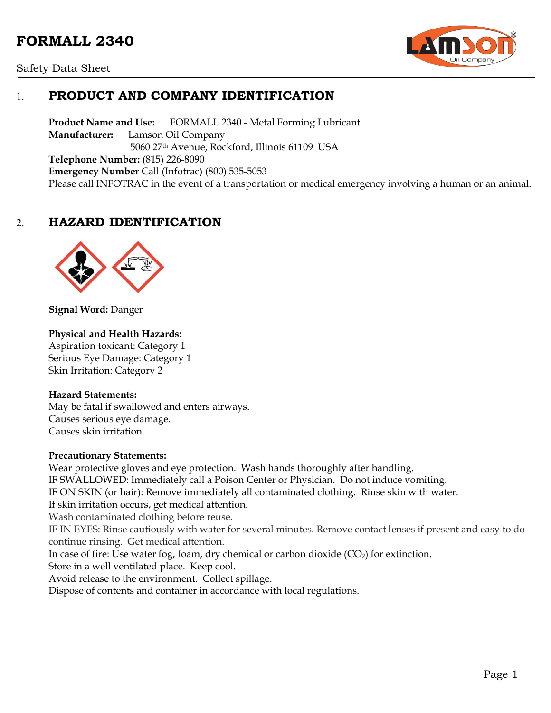# **FORMALL 2340**





## 1. **PRODUCT AND COMPANY IDENTIFICATION**

**Product Name and Use:** FORMALL 2340 - Metal Forming Lubricant **Manufacturer:** Lamson Oil Company 5060 27th Avenue, Rockford, Illinois 61109 USA **Telephone Number:** (815) 226-8090 **Emergency Number** Call (Infotrac) (800) 535-5053 Please call INFOTRAC in the event of a transportation or medical emergency involving a human or an animal.

## 2. **HAZARD IDENTIFICATION**



**Signal Word:** Danger

#### **Physical and Health Hazards:**

Aspiration toxicant: Category 1 Serious Eye Damage: Category 1 Skin Irritation: Category 2

#### **Hazard Statements:**

 May be fatal if swallowed and enters airways. Causes serious eye damage. Causes skin irritation.

#### **Precautionary Statements:**

Wear protective gloves and eye protection. Wash hands thoroughly after handling. IF SWALLOWED: Immediately call a Poison Center or Physician. Do not induce vomiting. IF ON SKIN (or hair): Remove immediately all contaminated clothing. Rinse skin with water. If skin irritation occurs, get medical attention. Wash contaminated clothing before reuse. IF IN EYES: Rinse cautiously with water for several minutes. Remove contact lenses if present and easy to do – continue rinsing. Get medical attention. In case of fire: Use water fog, foam, dry chemical or carbon dioxide  $(CO<sub>2</sub>)$  for extinction. Store in a well ventilated place. Keep cool. Avoid release to the environment. Collect spillage. Dispose of contents and container in accordance with local regulations.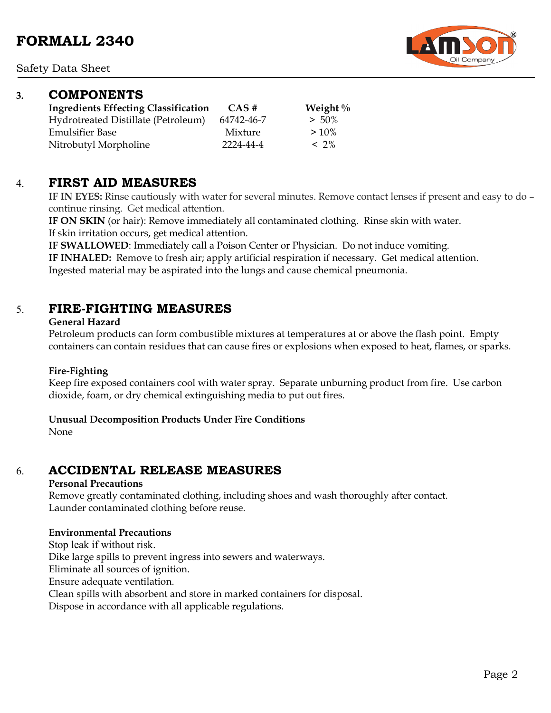### **3. COMPONENTS**

| <b>Ingredients Effecting Classification</b> | CAS#       | Weight $\%$ |
|---------------------------------------------|------------|-------------|
| Hydrotreated Distillate (Petroleum)         | 64742-46-7 | $> 50\%$    |
| <b>Emulsifier Base</b>                      | Mixture    | $>10\%$     |
| Nitrobutyl Morpholine                       | 2224-44-4  | $< 2\%$     |

### 4. **FIRST AID MEASURES**

**IF IN EYES:** Rinse cautiously with water for several minutes. Remove contact lenses if present and easy to do – continue rinsing. Get medical attention.

**IF ON SKIN** (or hair): Remove immediately all contaminated clothing. Rinse skin with water. If skin irritation occurs, get medical attention.

**IF SWALLOWED**: Immediately call a Poison Center or Physician. Do not induce vomiting.

**IF INHALED:** Remove to fresh air; apply artificial respiration if necessary. Get medical attention.

Ingested material may be aspirated into the lungs and cause chemical pneumonia.

## 5. **FIRE-FIGHTING MEASURES**

#### **General Hazard**

Petroleum products can form combustible mixtures at temperatures at or above the flash point. Empty containers can contain residues that can cause fires or explosions when exposed to heat, flames, or sparks.

#### **Fire-Fighting**

Keep fire exposed containers cool with water spray. Separate unburning product from fire. Use carbon dioxide, foam, or dry chemical extinguishing media to put out fires.

#### **Unusual Decomposition Products Under Fire Conditions**

None

## 6. **ACCIDENTAL RELEASE MEASURES**

#### **Personal Precautions**

Remove greatly contaminated clothing, including shoes and wash thoroughly after contact. Launder contaminated clothing before reuse.

#### **Environmental Precautions**

Stop leak if without risk. Dike large spills to prevent ingress into sewers and waterways. Eliminate all sources of ignition. Ensure adequate ventilation. Clean spills with absorbent and store in marked containers for disposal. Dispose in accordance with all applicable regulations.

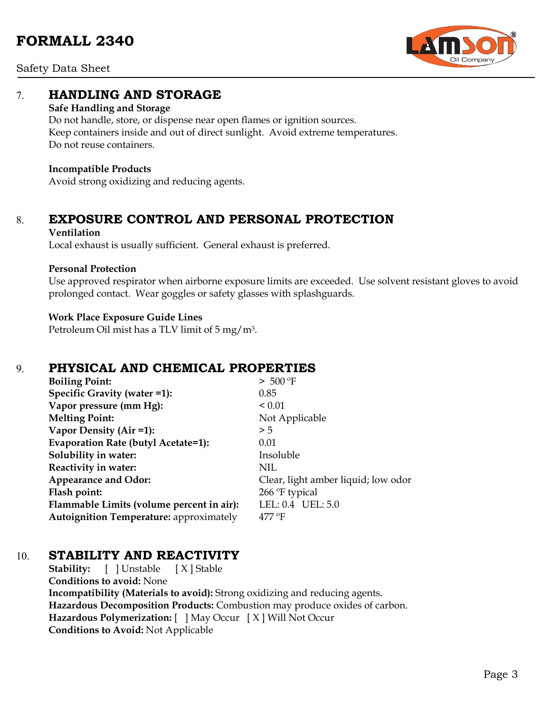

Safety Data Sheet

## 7. **HANDLING AND STORAGE**

#### **Safe Handling and Storage**

Do not handle, store, or dispense near open flames or ignition sources. Keep containers inside and out of direct sunlight. Avoid extreme temperatures. Do not reuse containers.

#### **Incompatible Products**

Avoid strong oxidizing and reducing agents.

# 8. **EXPOSURE CONTROL AND PERSONAL PROTECTION**

#### **Ventilation**

Local exhaust is usually sufficient. General exhaust is preferred.

#### **Personal Protection**

Use approved respirator when airborne exposure limits are exceeded. Use solvent resistant gloves to avoid prolonged contact. Wear goggles or safety glasses with splashguards.

#### **Work Place Exposure Guide Lines**

Petroleum Oil mist has a TLV limit of 5 mg/m3.

## 9. **PHYSICAL AND CHEMICAL PROPERTIES**

| <b>Boiling Point:</b>                          | > 500 °F                            |
|------------------------------------------------|-------------------------------------|
| Specific Gravity (water =1):                   | 0.85                                |
| Vapor pressure (mm Hg):                        | ${}_{0.01}$                         |
| <b>Melting Point:</b>                          | Not Applicable                      |
| Vapor Density (Air =1):                        | > 5                                 |
| Evaporation Rate (butyl Acetate=1):            | 0.01                                |
| Solubility in water:                           | Insoluble                           |
| Reactivity in water:                           | NIL                                 |
| <b>Appearance and Odor:</b>                    | Clear, light amber liquid; low odor |
| Flash point:                                   | 266 °F typical                      |
| Flammable Limits (volume percent in air):      | LEL: 0.4 UEL: 5.0                   |
| <b>Autoignition Temperature: approximately</b> | $477^{\circ}$ F                     |

## 10. **STABILITY AND REACTIVITY**

**Stability:** [ ] Unstable [ X ] Stable **Conditions to avoid:** None **Incompatibility (Materials to avoid):** Strong oxidizing and reducing agents. **Hazardous Decomposition Products:** Combustion may produce oxides of carbon. **Hazardous Polymerization:** [ ] May Occur [ X ] Will Not Occur **Conditions to Avoid:** Not Applicable